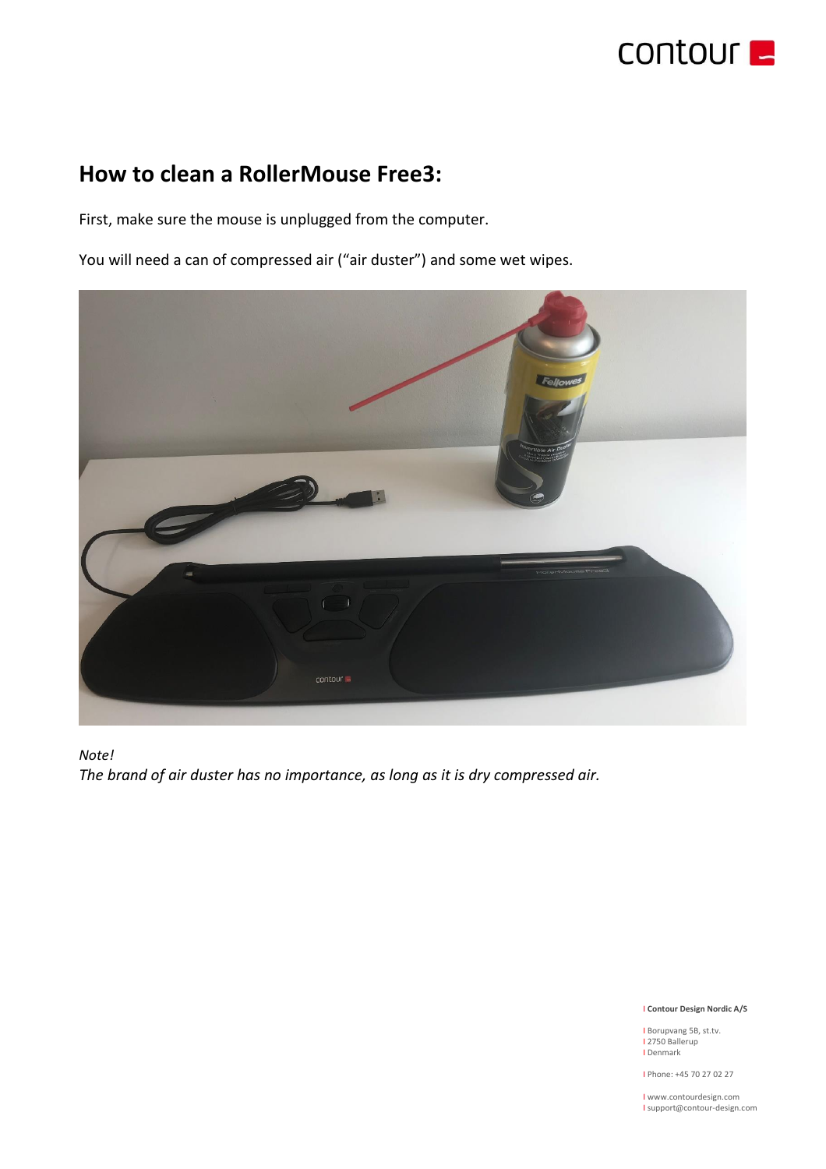

## **How to clean a RollerMouse Free3:**

First, make sure the mouse is unplugged from the computer.

You will need a can of compressed air ("air duster") and some wet wipes.



*Note! The brand of air duster has no importance, as long as it is dry compressed air.*

I **Contour Design Nordic A/S**

I Borupvang 5B, st.tv.<br>I 2750 Ballerup I Denmark

I Phone: +45 70 27 02 27

I www.contourdesign.com I support@contour-design.com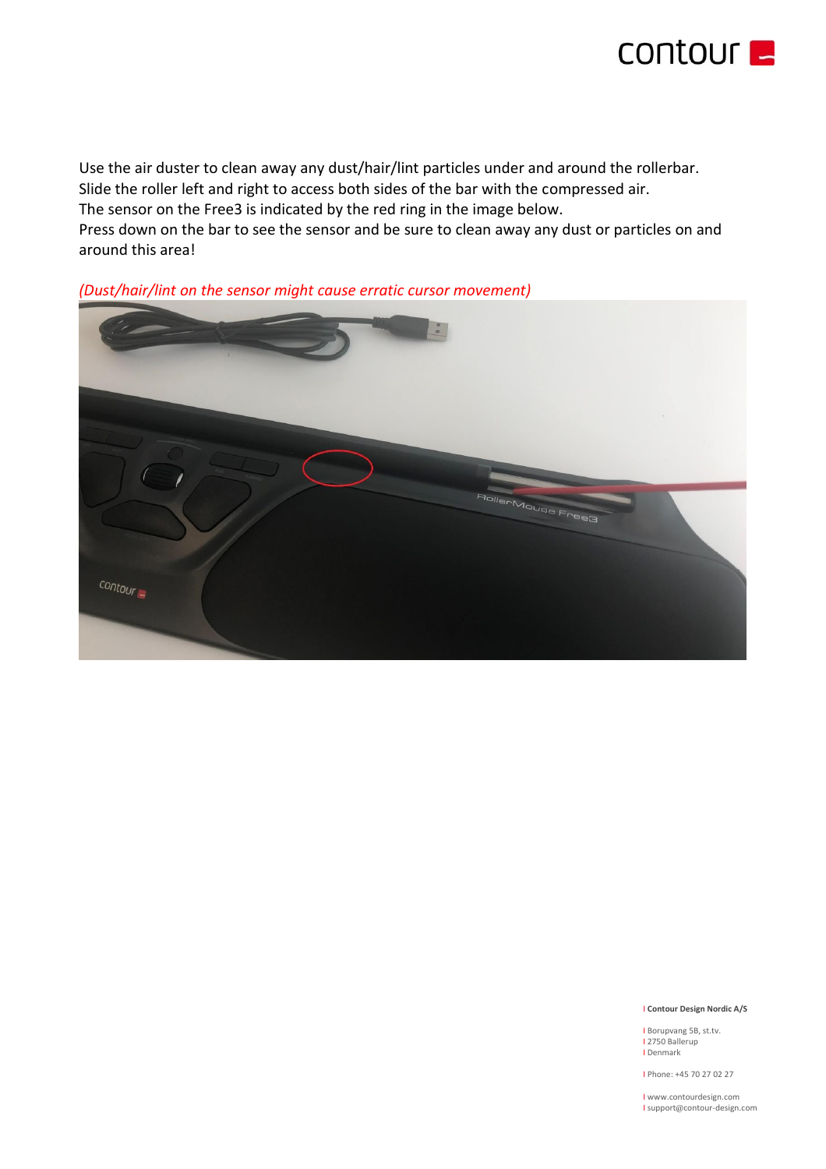

Use the air duster to clean away any dust/hair/lint particles under and around the rollerbar. Slide the roller left and right to access both sides of the bar with the compressed air. The sensor on the Free3 is indicated by the red ring in the image below.

Press down on the bar to see the sensor and be sure to clean away any dust or particles on and around this area!

*(Dust/hair/lint on the sensor might cause erratic cursor movement)*



## I **Contour Design Nordic A/S**

I Borupvang 5B, st.tv. I 2750 Ballerup I Denmark

I Phone: +45 70 27 02 27

I www.contourdesign.com I support@contour-design.com